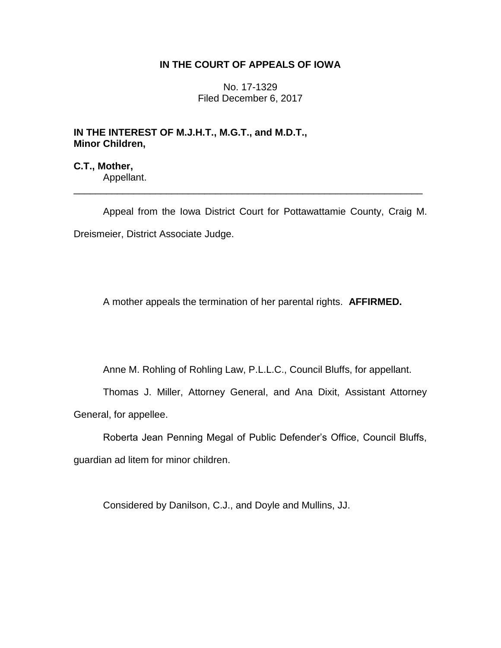# **IN THE COURT OF APPEALS OF IOWA**

No. 17-1329 Filed December 6, 2017

# **IN THE INTEREST OF M.J.H.T., M.G.T., and M.D.T., Minor Children,**

**C.T., Mother,** Appellant.

Appeal from the Iowa District Court for Pottawattamie County, Craig M. Dreismeier, District Associate Judge.

\_\_\_\_\_\_\_\_\_\_\_\_\_\_\_\_\_\_\_\_\_\_\_\_\_\_\_\_\_\_\_\_\_\_\_\_\_\_\_\_\_\_\_\_\_\_\_\_\_\_\_\_\_\_\_\_\_\_\_\_\_\_\_\_

A mother appeals the termination of her parental rights. **AFFIRMED.**

Anne M. Rohling of Rohling Law, P.L.L.C., Council Bluffs, for appellant.

Thomas J. Miller, Attorney General, and Ana Dixit, Assistant Attorney General, for appellee.

Roberta Jean Penning Megal of Public Defender's Office, Council Bluffs, guardian ad litem for minor children.

Considered by Danilson, C.J., and Doyle and Mullins, JJ.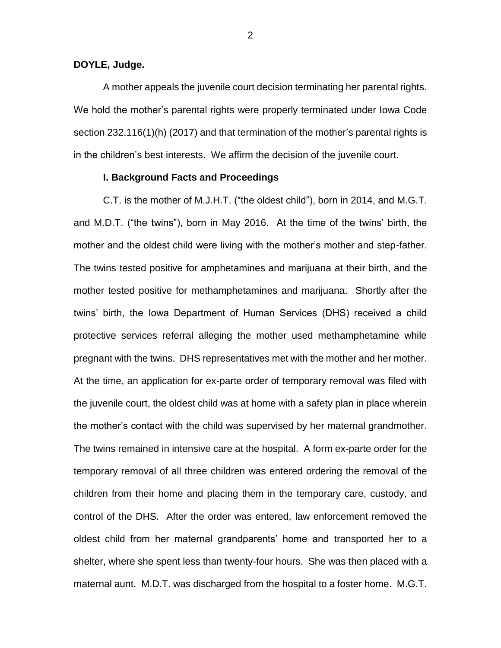### **DOYLE, Judge.**

A mother appeals the juvenile court decision terminating her parental rights. We hold the mother's parental rights were properly terminated under Iowa Code section 232.116(1)(h) (2017) and that termination of the mother's parental rights is in the children's best interests. We affirm the decision of the juvenile court.

## **I. Background Facts and Proceedings**

C.T. is the mother of M.J.H.T. ("the oldest child"), born in 2014, and M.G.T. and M.D.T. ("the twins"), born in May 2016. At the time of the twins' birth, the mother and the oldest child were living with the mother's mother and step-father. The twins tested positive for amphetamines and marijuana at their birth, and the mother tested positive for methamphetamines and marijuana. Shortly after the twins' birth, the Iowa Department of Human Services (DHS) received a child protective services referral alleging the mother used methamphetamine while pregnant with the twins. DHS representatives met with the mother and her mother. At the time, an application for ex-parte order of temporary removal was filed with the juvenile court, the oldest child was at home with a safety plan in place wherein the mother's contact with the child was supervised by her maternal grandmother. The twins remained in intensive care at the hospital. A form ex-parte order for the temporary removal of all three children was entered ordering the removal of the children from their home and placing them in the temporary care, custody, and control of the DHS. After the order was entered, law enforcement removed the oldest child from her maternal grandparents' home and transported her to a shelter, where she spent less than twenty-four hours. She was then placed with a maternal aunt. M.D.T. was discharged from the hospital to a foster home. M.G.T.

2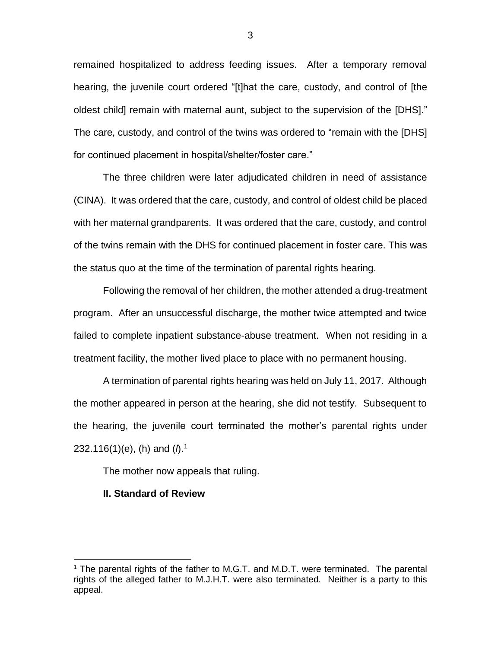remained hospitalized to address feeding issues. After a temporary removal hearing, the juvenile court ordered "[t]hat the care, custody, and control of [the oldest child] remain with maternal aunt, subject to the supervision of the [DHS]." The care, custody, and control of the twins was ordered to "remain with the [DHS] for continued placement in hospital/shelter/foster care."

The three children were later adjudicated children in need of assistance (CINA). It was ordered that the care, custody, and control of oldest child be placed with her maternal grandparents. It was ordered that the care, custody, and control of the twins remain with the DHS for continued placement in foster care. This was the status quo at the time of the termination of parental rights hearing.

Following the removal of her children, the mother attended a drug-treatment program. After an unsuccessful discharge, the mother twice attempted and twice failed to complete inpatient substance-abuse treatment. When not residing in a treatment facility, the mother lived place to place with no permanent housing.

A termination of parental rights hearing was held on July 11, 2017. Although the mother appeared in person at the hearing, she did not testify. Subsequent to the hearing, the juvenile court terminated the mother's parental rights under 232.116(1)(e), (h) and (*l*).<sup>1</sup>

The mother now appeals that ruling.

#### **II. Standard of Review**

<sup>&</sup>lt;sup>1</sup> The parental rights of the father to M.G.T. and M.D.T. were terminated. The parental rights of the alleged father to M.J.H.T. were also terminated. Neither is a party to this appeal.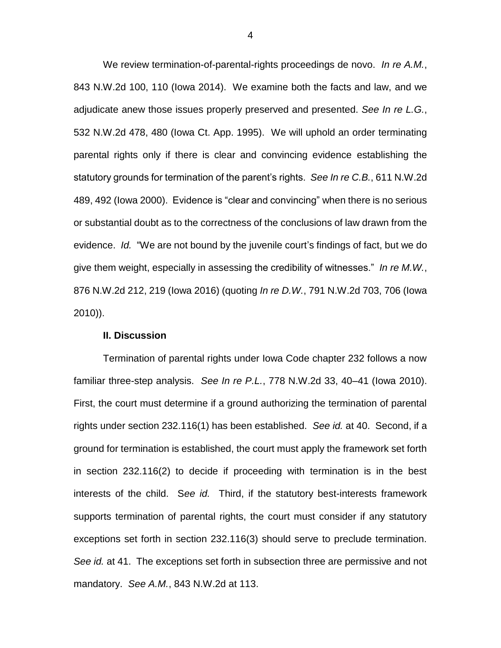We review termination-of-parental-rights proceedings de novo. *In re A.M.*, 843 N.W.2d 100, 110 (Iowa 2014). We examine both the facts and law, and we adjudicate anew those issues properly preserved and presented. *See In re L.G.*, 532 N.W.2d 478, 480 (Iowa Ct. App. 1995). We will uphold an order terminating parental rights only if there is clear and convincing evidence establishing the statutory grounds for termination of the parent's rights. *See In re C.B.*, 611 N.W.2d 489, 492 (Iowa 2000). Evidence is "clear and convincing" when there is no serious or substantial doubt as to the correctness of the conclusions of law drawn from the evidence. *Id.* "We are not bound by the juvenile court's findings of fact, but we do give them weight, especially in assessing the credibility of witnesses." *In re M.W.*, 876 N.W.2d 212, 219 (Iowa 2016) (quoting *In re D.W.*, 791 N.W.2d 703, 706 (Iowa 2010)).

## **II. Discussion**

Termination of parental rights under Iowa Code chapter 232 follows a now familiar three-step analysis. *See In re P.L.*, 778 N.W.2d 33, 40–41 (Iowa 2010). First, the court must determine if a ground authorizing the termination of parental rights under section 232.116(1) has been established. *See id.* at 40. Second, if a ground for termination is established, the court must apply the framework set forth in section 232.116(2) to decide if proceeding with termination is in the best interests of the child. S*ee id.* Third, if the statutory best-interests framework supports termination of parental rights, the court must consider if any statutory exceptions set forth in section 232.116(3) should serve to preclude termination. *See id.* at 41. The exceptions set forth in subsection three are permissive and not mandatory. *See A.M.*, 843 N.W.2d at 113.

4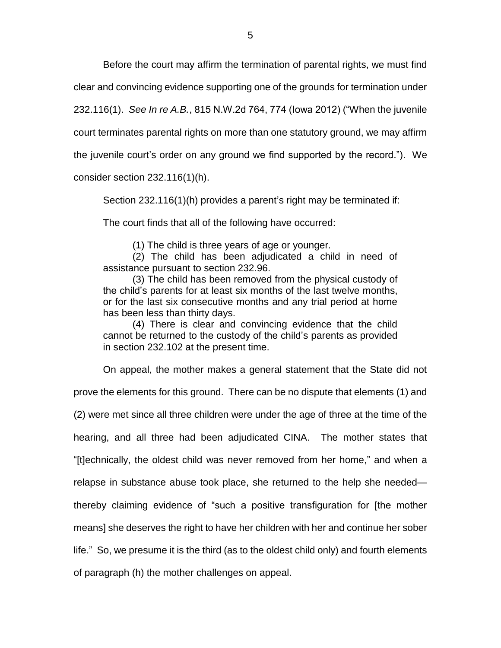Before the court may affirm the termination of parental rights, we must find

clear and convincing evidence supporting one of the grounds for termination under

232.116(1). *See In re A.B.*, 815 N.W.2d 764, 774 (Iowa 2012) ("When the juvenile

court terminates parental rights on more than one statutory ground, we may affirm

the juvenile court's order on any ground we find supported by the record."). We

consider section 232.116(1)(h).

Section 232.116(1)(h) provides a parent's right may be terminated if:

The court finds that all of the following have occurred:

(1) The child is three years of age or younger.

(2) The child has been adjudicated a child in need of assistance pursuant to section 232.96.

(3) The child has been removed from the physical custody of the child's parents for at least six months of the last twelve months, or for the last six consecutive months and any trial period at home has been less than thirty days.

(4) There is clear and convincing evidence that the child cannot be returned to the custody of the child's parents as provided in section 232.102 at the present time.

On appeal, the mother makes a general statement that the State did not prove the elements for this ground. There can be no dispute that elements (1) and (2) were met since all three children were under the age of three at the time of the hearing, and all three had been adjudicated CINA. The mother states that "[t]echnically, the oldest child was never removed from her home," and when a relapse in substance abuse took place, she returned to the help she needed thereby claiming evidence of "such a positive transfiguration for [the mother means] she deserves the right to have her children with her and continue her sober life." So, we presume it is the third (as to the oldest child only) and fourth elements of paragraph (h) the mother challenges on appeal.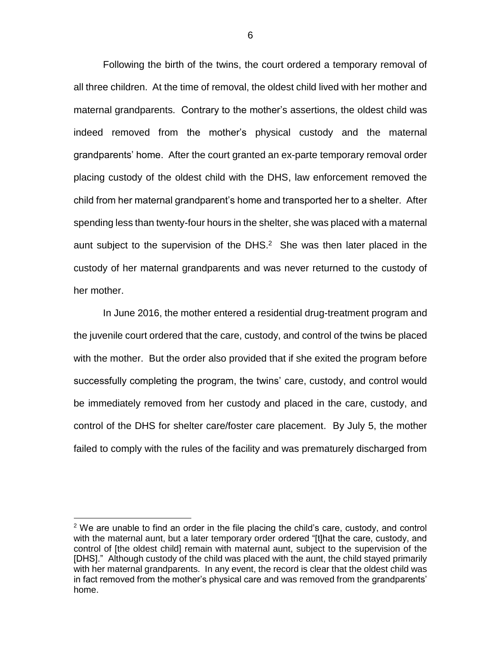Following the birth of the twins, the court ordered a temporary removal of all three children. At the time of removal, the oldest child lived with her mother and maternal grandparents. Contrary to the mother's assertions, the oldest child was indeed removed from the mother's physical custody and the maternal grandparents' home. After the court granted an ex-parte temporary removal order placing custody of the oldest child with the DHS, law enforcement removed the child from her maternal grandparent's home and transported her to a shelter. After spending less than twenty-four hours in the shelter, she was placed with a maternal aunt subject to the supervision of the DHS. $<sup>2</sup>$  She was then later placed in the</sup> custody of her maternal grandparents and was never returned to the custody of her mother.

In June 2016, the mother entered a residential drug-treatment program and the juvenile court ordered that the care, custody, and control of the twins be placed with the mother. But the order also provided that if she exited the program before successfully completing the program, the twins' care, custody, and control would be immediately removed from her custody and placed in the care, custody, and control of the DHS for shelter care/foster care placement. By July 5, the mother failed to comply with the rules of the facility and was prematurely discharged from

 $2$  We are unable to find an order in the file placing the child's care, custody, and control with the maternal aunt, but a later temporary order ordered "[t]hat the care, custody, and control of [the oldest child] remain with maternal aunt, subject to the supervision of the [DHS]." Although custody of the child was placed with the aunt, the child stayed primarily with her maternal grandparents. In any event, the record is clear that the oldest child was in fact removed from the mother's physical care and was removed from the grandparents' home.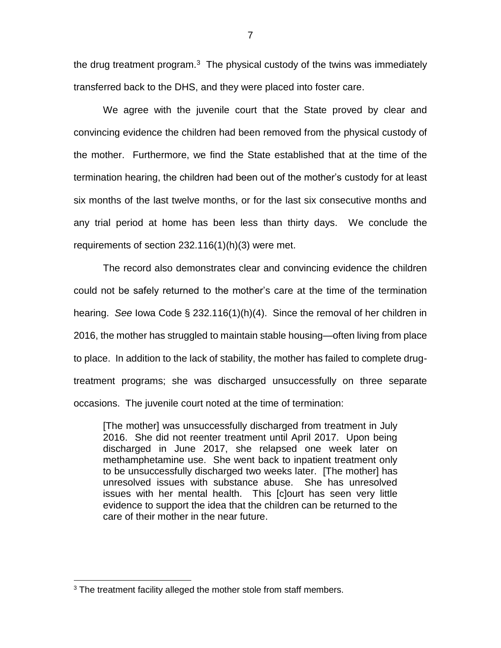the drug treatment program. $3$  The physical custody of the twins was immediately transferred back to the DHS, and they were placed into foster care.

We agree with the juvenile court that the State proved by clear and convincing evidence the children had been removed from the physical custody of the mother. Furthermore, we find the State established that at the time of the termination hearing, the children had been out of the mother's custody for at least six months of the last twelve months, or for the last six consecutive months and any trial period at home has been less than thirty days. We conclude the requirements of section 232.116(1)(h)(3) were met.

The record also demonstrates clear and convincing evidence the children could not be safely returned to the mother's care at the time of the termination hearing. *See* Iowa Code § 232.116(1)(h)(4). Since the removal of her children in 2016, the mother has struggled to maintain stable housing—often living from place to place. In addition to the lack of stability, the mother has failed to complete drugtreatment programs; she was discharged unsuccessfully on three separate occasions. The juvenile court noted at the time of termination:

[The mother] was unsuccessfully discharged from treatment in July 2016. She did not reenter treatment until April 2017. Upon being discharged in June 2017, she relapsed one week later on methamphetamine use. She went back to inpatient treatment only to be unsuccessfully discharged two weeks later. [The mother] has unresolved issues with substance abuse. She has unresolved issues with her mental health. This [c]ourt has seen very little evidence to support the idea that the children can be returned to the care of their mother in the near future.

 $3$  The treatment facility alleged the mother stole from staff members.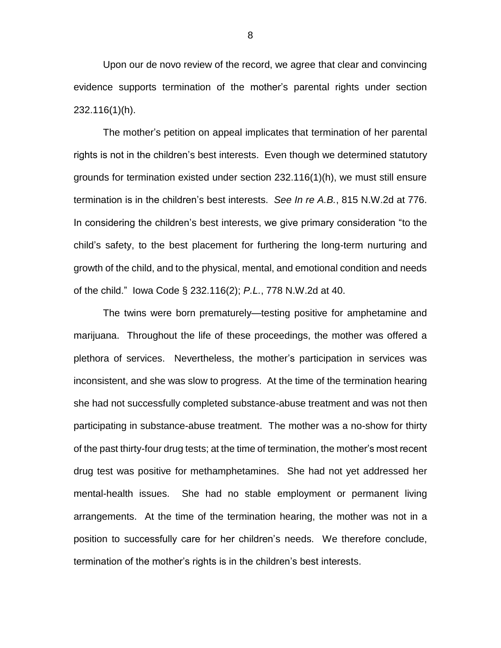Upon our de novo review of the record, we agree that clear and convincing evidence supports termination of the mother's parental rights under section 232.116(1)(h).

The mother's petition on appeal implicates that termination of her parental rights is not in the children's best interests. Even though we determined statutory grounds for termination existed under section 232.116(1)(h), we must still ensure termination is in the children's best interests. *See In re A.B.*, 815 N.W.2d at 776. In considering the children's best interests, we give primary consideration "to the child's safety, to the best placement for furthering the long-term nurturing and growth of the child, and to the physical, mental, and emotional condition and needs of the child." Iowa Code § 232.116(2); *P.L.*, 778 N.W.2d at 40.

The twins were born prematurely—testing positive for amphetamine and marijuana. Throughout the life of these proceedings, the mother was offered a plethora of services. Nevertheless, the mother's participation in services was inconsistent, and she was slow to progress. At the time of the termination hearing she had not successfully completed substance-abuse treatment and was not then participating in substance-abuse treatment. The mother was a no-show for thirty of the past thirty-four drug tests; at the time of termination, the mother's most recent drug test was positive for methamphetamines. She had not yet addressed her mental-health issues. She had no stable employment or permanent living arrangements. At the time of the termination hearing, the mother was not in a position to successfully care for her children's needs. We therefore conclude, termination of the mother's rights is in the children's best interests.

8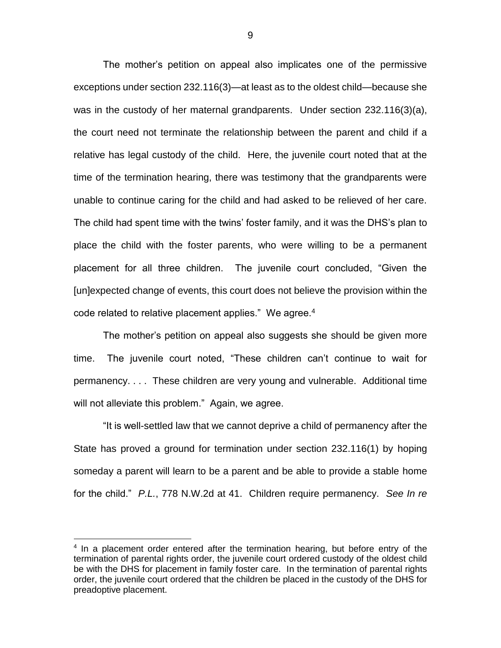The mother's petition on appeal also implicates one of the permissive exceptions under section 232.116(3)—at least as to the oldest child—because she was in the custody of her maternal grandparents. Under section 232.116(3)(a), the court need not terminate the relationship between the parent and child if a relative has legal custody of the child. Here, the juvenile court noted that at the time of the termination hearing, there was testimony that the grandparents were unable to continue caring for the child and had asked to be relieved of her care. The child had spent time with the twins' foster family, and it was the DHS's plan to place the child with the foster parents, who were willing to be a permanent placement for all three children. The juvenile court concluded, "Given the [un]expected change of events, this court does not believe the provision within the code related to relative placement applies." We agree.<sup>4</sup>

The mother's petition on appeal also suggests she should be given more time. The juvenile court noted, "These children can't continue to wait for permanency. . . . These children are very young and vulnerable. Additional time will not alleviate this problem." Again, we agree.

"It is well-settled law that we cannot deprive a child of permanency after the State has proved a ground for termination under section 232.116(1) by hoping someday a parent will learn to be a parent and be able to provide a stable home for the child." *P.L.*, 778 N.W.2d at 41. Children require permanency. *See In re* 

<sup>&</sup>lt;sup>4</sup> In a placement order entered after the termination hearing, but before entry of the termination of parental rights order, the juvenile court ordered custody of the oldest child be with the DHS for placement in family foster care. In the termination of parental rights order, the juvenile court ordered that the children be placed in the custody of the DHS for preadoptive placement.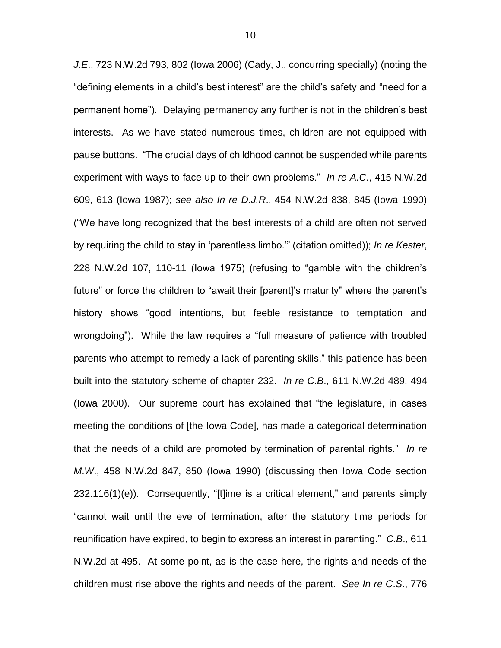*J.E*., 723 N.W.2d 793, 802 (Iowa 2006) (Cady, J., concurring specially) (noting the "defining elements in a child's best interest" are the child's safety and "need for a permanent home"). Delaying permanency any further is not in the children's best interests. As we have stated numerous times, children are not equipped with pause buttons. "The crucial days of childhood cannot be suspended while parents experiment with ways to face up to their own problems." *In re A.C*., 415 N.W.2d 609, 613 (Iowa 1987); *see also In re D.J.R*., 454 N.W.2d 838, 845 (Iowa 1990) ("We have long recognized that the best interests of a child are often not served by requiring the child to stay in 'parentless limbo.'" (citation omitted)); *In re Kester*, 228 N.W.2d 107, 110-11 (Iowa 1975) (refusing to "gamble with the children's future" or force the children to "await their [parent]'s maturity" where the parent's history shows "good intentions, but feeble resistance to temptation and wrongdoing"). While the law requires a "full measure of patience with troubled parents who attempt to remedy a lack of parenting skills," this patience has been built into the statutory scheme of chapter 232. *In re C*.*B*., 611 N.W.2d 489, 494 (Iowa 2000). Our supreme court has explained that "the legislature, in cases meeting the conditions of [the Iowa Code], has made a categorical determination that the needs of a child are promoted by termination of parental rights." *In re M*.*W*., 458 N.W.2d 847, 850 (Iowa 1990) (discussing then Iowa Code section 232.116(1)(e)). Consequently, "[t]ime is a critical element," and parents simply "cannot wait until the eve of termination, after the statutory time periods for reunification have expired, to begin to express an interest in parenting." *C*.*B*., 611 N.W.2d at 495. At some point, as is the case here, the rights and needs of the children must rise above the rights and needs of the parent. *See In re C*.*S*., 776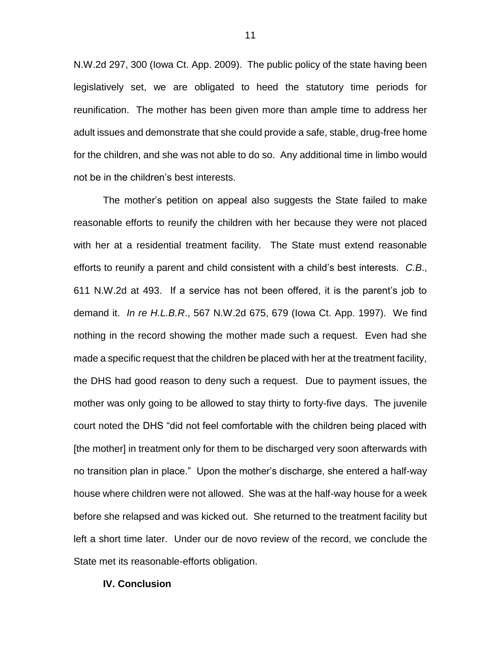N.W.2d 297, 300 (Iowa Ct. App. 2009). The public policy of the state having been legislatively set, we are obligated to heed the statutory time periods for reunification. The mother has been given more than ample time to address her adult issues and demonstrate that she could provide a safe, stable, drug-free home for the children, and she was not able to do so. Any additional time in limbo would not be in the children's best interests.

The mother's petition on appeal also suggests the State failed to make reasonable efforts to reunify the children with her because they were not placed with her at a residential treatment facility. The State must extend reasonable efforts to reunify a parent and child consistent with a child's best interests. *C.B*., 611 N.W.2d at 493. If a service has not been offered, it is the parent's job to demand it. *In re H.L.B.R*., 567 N.W.2d 675, 679 (Iowa Ct. App. 1997). We find nothing in the record showing the mother made such a request. Even had she made a specific request that the children be placed with her at the treatment facility, the DHS had good reason to deny such a request. Due to payment issues, the mother was only going to be allowed to stay thirty to forty-five days. The juvenile court noted the DHS "did not feel comfortable with the children being placed with [the mother] in treatment only for them to be discharged very soon afterwards with no transition plan in place." Upon the mother's discharge, she entered a half-way house where children were not allowed. She was at the half-way house for a week before she relapsed and was kicked out. She returned to the treatment facility but left a short time later. Under our de novo review of the record, we conclude the State met its reasonable-efforts obligation.

#### **IV. Conclusion**